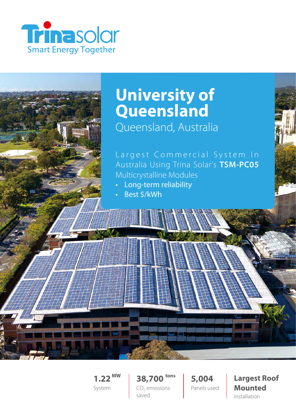

# **University of Queensland** Queensland, Australia

## Largest Commercial System In Australia Using Trina Solar's **TSM-PC05** Multicrystalline Modules

- Long-term reliability
- Best \$/kWh

**1.22 MW** System **38,700 tons**  $CO<sub>2</sub>$  emissions saved

**5,004** Panels used **Largest Roof Mounted**  installation